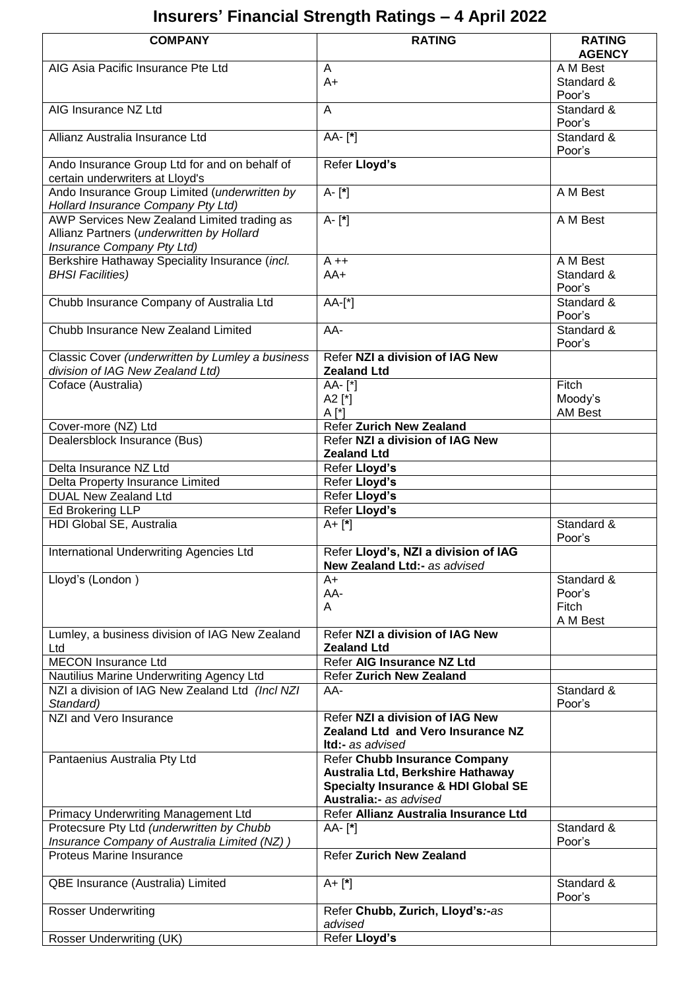# **Insurers' Financial Strength Ratings – 4 April 2022**

| <b>COMPANY</b>                                                                            | <b>RATING</b>                                                        | <b>RATING</b>             |
|-------------------------------------------------------------------------------------------|----------------------------------------------------------------------|---------------------------|
|                                                                                           |                                                                      | <b>AGENCY</b>             |
| AIG Asia Pacific Insurance Pte Ltd                                                        | A                                                                    | A M Best<br>Standard &    |
|                                                                                           | $A+$                                                                 | Poor's                    |
| AIG Insurance NZ Ltd                                                                      | A                                                                    | Standard &<br>Poor's      |
| Allianz Australia Insurance Ltd                                                           | AA-[*]                                                               | Standard &<br>Poor's      |
| Ando Insurance Group Ltd for and on behalf of                                             | Refer Lloyd's                                                        |                           |
| certain underwriters at Lloyd's                                                           |                                                                      |                           |
| Ando Insurance Group Limited (underwritten by<br>Hollard Insurance Company Pty Ltd)       | A-[*]                                                                | A M Best                  |
| AWP Services New Zealand Limited trading as                                               | A-[*]                                                                | A M Best                  |
| Allianz Partners (underwritten by Hollard<br>Insurance Company Pty Ltd)                   |                                                                      |                           |
| Berkshire Hathaway Speciality Insurance (incl.                                            | $A + +$                                                              | A M Best                  |
| <b>BHSI Facilities)</b>                                                                   | $AA+$                                                                | Standard &<br>Poor's      |
| Chubb Insurance Company of Australia Ltd                                                  | $AA-[^*]$                                                            | Standard &<br>Poor's      |
| Chubb Insurance New Zealand Limited                                                       | AA-                                                                  | Standard &<br>Poor's      |
| Classic Cover (underwritten by Lumley a business                                          | Refer NZI a division of IAG New                                      |                           |
| division of IAG New Zealand Ltd)                                                          | <b>Zealand Ltd</b>                                                   |                           |
| Coface (Australia)                                                                        | AA- [*]                                                              | Fitch                     |
|                                                                                           | A2 $[$ ^*]<br>$A[^*]$                                                | Moody's<br><b>AM Best</b> |
| Cover-more (NZ) Ltd                                                                       | <b>Refer Zurich New Zealand</b>                                      |                           |
| Dealersblock Insurance (Bus)                                                              | Refer NZI a division of IAG New                                      |                           |
|                                                                                           | <b>Zealand Ltd</b>                                                   |                           |
| Delta Insurance NZ Ltd                                                                    | Refer Lloyd's                                                        |                           |
| Delta Property Insurance Limited                                                          | Refer Lloyd's                                                        |                           |
| <b>DUAL New Zealand Ltd</b>                                                               | Refer Lloyd's                                                        |                           |
| Ed Brokering LLP<br>HDI Global SE, Australia                                              | Refer Lloyd's<br>$A + [*]$                                           | Standard &<br>Poor's      |
| International Underwriting Agencies Ltd                                                   | Refer Lloyd's, NZI a division of IAG<br>New Zealand Ltd:- as advised |                           |
| Lloyd's (London)                                                                          | $A+$                                                                 | Standard &                |
|                                                                                           | AA-                                                                  | Poor's                    |
|                                                                                           | A                                                                    | Fitch                     |
|                                                                                           |                                                                      | A M Best                  |
| Lumley, a business division of IAG New Zealand<br>Ltd                                     | Refer NZI a division of IAG New<br><b>Zealand Ltd</b>                |                           |
| <b>MECON Insurance Ltd</b>                                                                | Refer AIG Insurance NZ Ltd                                           |                           |
| Nautilius Marine Underwriting Agency Ltd                                                  | <b>Refer Zurich New Zealand</b>                                      |                           |
| NZI a division of IAG New Zealand Ltd (Incl NZI<br>Standard)                              | AA-                                                                  | Standard &<br>Poor's      |
| NZI and Vero Insurance                                                                    | Refer NZI a division of IAG New                                      |                           |
|                                                                                           | Zealand Ltd and Vero Insurance NZ                                    |                           |
|                                                                                           | <b>Itd:-</b> as advised                                              |                           |
| Pantaenius Australia Pty Ltd                                                              | Refer Chubb Insurance Company<br>Australia Ltd, Berkshire Hathaway   |                           |
|                                                                                           | <b>Specialty Insurance &amp; HDI Global SE</b>                       |                           |
|                                                                                           | Australia:- as advised                                               |                           |
| <b>Primacy Underwriting Management Ltd</b>                                                | Refer Allianz Australia Insurance Ltd                                |                           |
| Protecsure Pty Ltd (underwritten by Chubb<br>Insurance Company of Australia Limited (NZ)) | AA- [*]                                                              | Standard &<br>Poor's      |
| Proteus Marine Insurance                                                                  | <b>Refer Zurich New Zealand</b>                                      |                           |
| QBE Insurance (Australia) Limited                                                         | $A + [*]$                                                            | Standard &                |
|                                                                                           |                                                                      | Poor's                    |
| <b>Rosser Underwriting</b>                                                                | Refer Chubb, Zurich, Lloyd's:-as<br>advised                          |                           |
| Rosser Underwriting (UK)                                                                  | Refer Lloyd's                                                        |                           |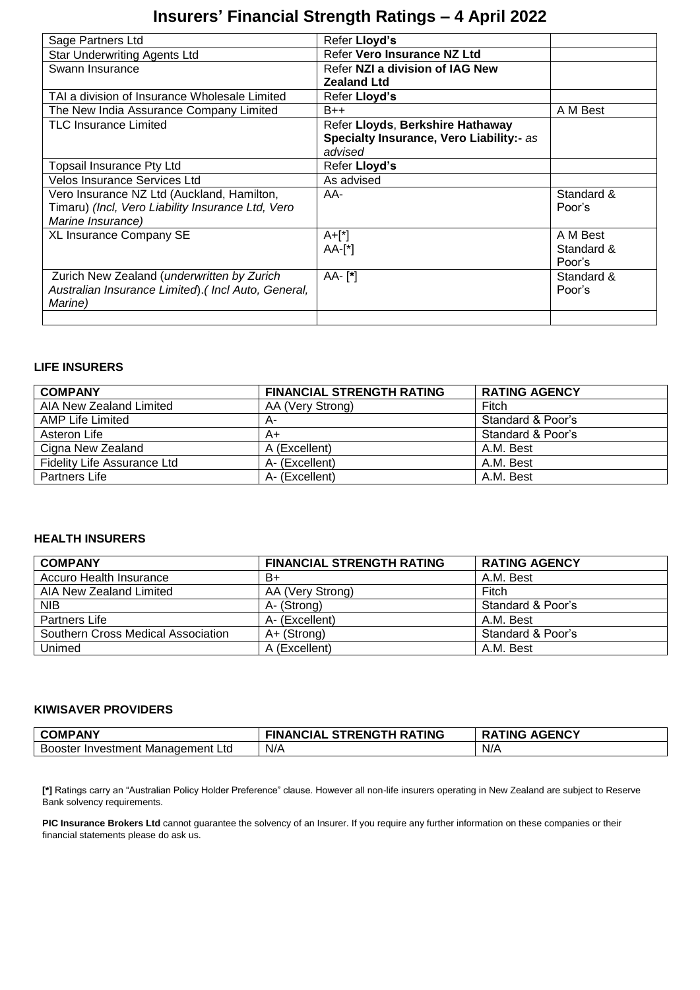## **Insurers' Financial Strength Ratings – 4 April 2022**

| Sage Partners Ltd                                   | Refer Lloyd's                            |            |
|-----------------------------------------------------|------------------------------------------|------------|
| <b>Star Underwriting Agents Ltd</b>                 | Refer Vero Insurance NZ Ltd              |            |
| Swann Insurance                                     | Refer NZI a division of IAG New          |            |
|                                                     | <b>Zealand Ltd</b>                       |            |
| TAI a division of Insurance Wholesale Limited       | Refer Lloyd's                            |            |
| The New India Assurance Company Limited             | $B++$                                    | A M Best   |
| <b>TLC Insurance Limited</b>                        | Refer Lloyds, Berkshire Hathaway         |            |
|                                                     | Specialty Insurance, Vero Liability:- as |            |
|                                                     | advised                                  |            |
| Topsail Insurance Pty Ltd                           | Refer Lloyd's                            |            |
| <b>Velos Insurance Services Ltd</b>                 | As advised                               |            |
| Vero Insurance NZ Ltd (Auckland, Hamilton,          | AA-                                      | Standard & |
| Timaru) (Incl, Vero Liability Insurance Ltd, Vero   |                                          | Poor's     |
| Marine Insurance)                                   |                                          |            |
| XL Insurance Company SE                             | $A+[*]$                                  | A M Best   |
|                                                     | $AA-[^*]$                                | Standard & |
|                                                     |                                          | Poor's     |
| Zurich New Zealand (underwritten by Zurich          | AA- [*]                                  | Standard & |
| Australian Insurance Limited). (Incl Auto, General, |                                          | Poor's     |
| Marine)                                             |                                          |            |
|                                                     |                                          |            |

#### **LIFE INSURERS**

| <b>COMPANY</b>              | <b>FINANCIAL STRENGTH RATING</b> | <b>RATING AGENCY</b> |
|-----------------------------|----------------------------------|----------------------|
| AIA New Zealand Limited     | AA (Very Strong)                 | Fitch                |
| AMP Life Limited            | А-                               | Standard & Poor's    |
| Asteron Life                | A+                               | Standard & Poor's    |
| Cigna New Zealand           | A (Excellent)                    | A.M. Best            |
| Fidelity Life Assurance Ltd | A- (Excellent)                   | A.M. Best            |
| Partners Life               | A- (Excellent)                   | A.M. Best            |

#### **HEALTH INSURERS**

| <b>COMPANY</b>                     | <b>FINANCIAL STRENGTH RATING</b> | <b>RATING AGENCY</b> |
|------------------------------------|----------------------------------|----------------------|
| Accuro Health Insurance            | B+                               | A.M. Best            |
| AIA New Zealand Limited            | AA (Very Strong)                 | Fitch                |
| <b>NIB</b>                         | A- (Strong)                      | Standard & Poor's    |
| Partners Life                      | A- (Excellent)                   | A.M. Best            |
| Southern Cross Medical Association | A+ (Strong)                      | Standard & Poor's    |
| Unimed                             | A (Excellent)                    | A.M. Best            |

#### **KIWISAVER PROVIDERS**

| <b>COMPANY</b>                          | <b>FINANCIAL</b><br>. STRENGTH RATING | <b>AGENCY</b><br><b>TING</b><br><b>RA</b> |
|-----------------------------------------|---------------------------------------|-------------------------------------------|
| r Investment Management Ltd.<br>Booster | N/A                                   | N/A                                       |

**[\*]** Ratings carry an "Australian Policy Holder Preference" clause. However all non-life insurers operating in New Zealand are subject to Reserve Bank solvency requirements.

PIC Insurance Brokers Ltd cannot guarantee the solvency of an Insurer. If you require any further information on these companies or their financial statements please do ask us.